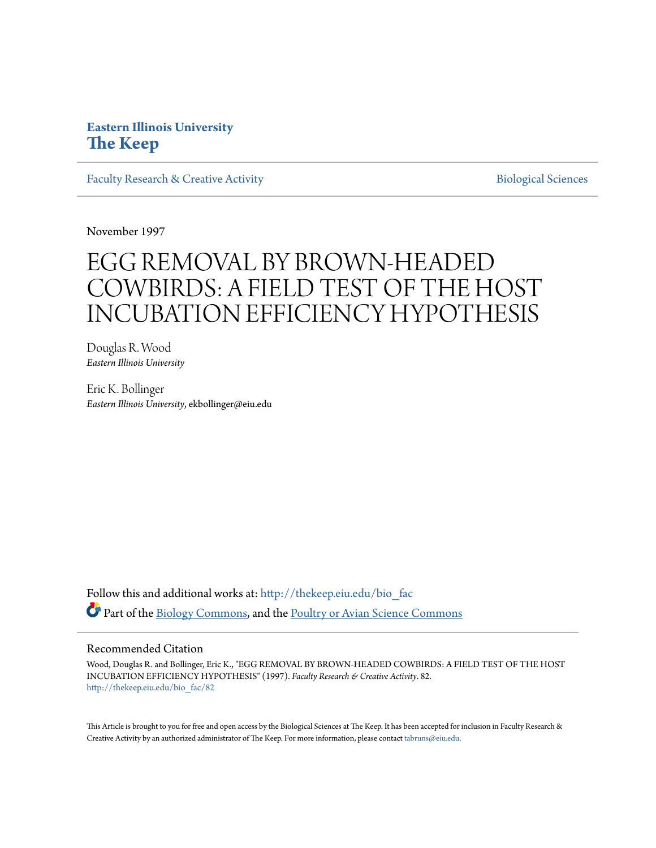# **Eastern Illinois University [The Keep](http://thekeep.eiu.edu?utm_source=thekeep.eiu.edu%2Fbio_fac%2F82&utm_medium=PDF&utm_campaign=PDFCoverPages)**

[Faculty Research & Creative Activity](http://thekeep.eiu.edu/bio_fac?utm_source=thekeep.eiu.edu%2Fbio_fac%2F82&utm_medium=PDF&utm_campaign=PDFCoverPages) **[Biological Sciences](http://thekeep.eiu.edu/bio?utm_source=thekeep.eiu.edu%2Fbio_fac%2F82&utm_medium=PDF&utm_campaign=PDFCoverPages)** Biological Sciences

November 1997

# EGG REMOVAL BY BROWN-HEADED COWBIRDS: A FIELD TEST OF THE HOST INCUBATION EFFICIENCY HYPOTHESIS

Douglas R. Wood *Eastern Illinois University*

Eric K. Bollinger *Eastern Illinois University*, ekbollinger@eiu.edu

Follow this and additional works at: [http://thekeep.eiu.edu/bio\\_fac](http://thekeep.eiu.edu/bio_fac?utm_source=thekeep.eiu.edu%2Fbio_fac%2F82&utm_medium=PDF&utm_campaign=PDFCoverPages) Part of the [Biology Commons,](http://network.bepress.com/hgg/discipline/41?utm_source=thekeep.eiu.edu%2Fbio_fac%2F82&utm_medium=PDF&utm_campaign=PDFCoverPages) and the [Poultry or Avian Science Commons](http://network.bepress.com/hgg/discipline/80?utm_source=thekeep.eiu.edu%2Fbio_fac%2F82&utm_medium=PDF&utm_campaign=PDFCoverPages)

### Recommended Citation

Wood, Douglas R. and Bollinger, Eric K., "EGG REMOVAL BY BROWN-HEADED COWBIRDS: A FIELD TEST OF THE HOST INCUBATION EFFICIENCY HYPOTHESIS" (1997). *Faculty Research & Creative Activity*. 82. [http://thekeep.eiu.edu/bio\\_fac/82](http://thekeep.eiu.edu/bio_fac/82?utm_source=thekeep.eiu.edu%2Fbio_fac%2F82&utm_medium=PDF&utm_campaign=PDFCoverPages)

This Article is brought to you for free and open access by the Biological Sciences at The Keep. It has been accepted for inclusion in Faculty Research & Creative Activity by an authorized administrator of The Keep. For more information, please contact [tabruns@eiu.edu.](mailto:tabruns@eiu.edu)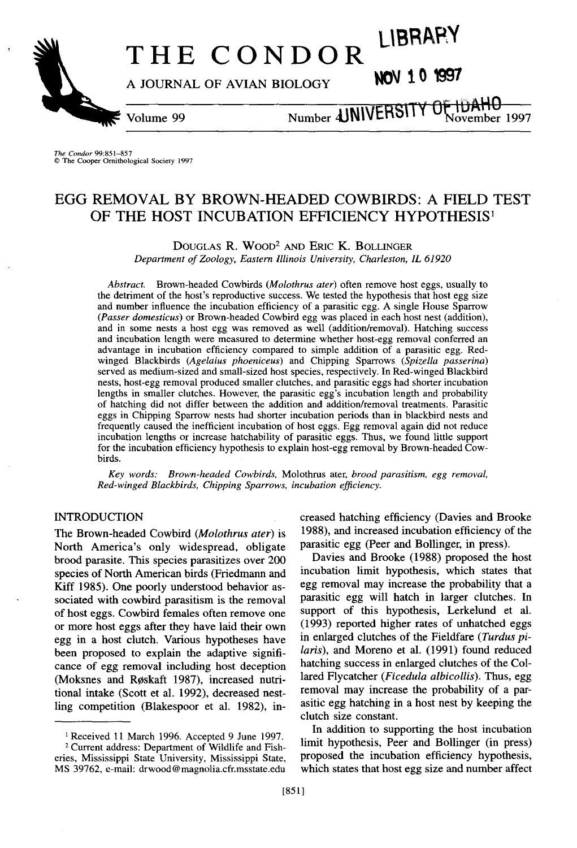# THE CONDOR LIBRARY

**A JOURNAL OF AVIAN BIOLOGY** 

Volume 99

Number **JUNIVERSITY OF IDAHU** 

*The Condor* 99:851-857 © The Cooper Ornithological Society 1997

## EGG REMOVAL BY BROWN-HEADED COWBIRDS: A FIELD TEST OF THE HOST INCUBATION EFFICIENCY HYPOTHESIS<sup>1</sup>

DOUGLAS R. WOOD<sup>2</sup> AND ERIC K. BOLLINGER

*Department of Zoology, Eastern Illinois University, Charleston, IL 61920* 

*Abstract.* Brown-headed Cowbirds *(Molothrus ater)* often remove host eggs, usually to the detriment of the host's reproductive success. We tested the hypothesis that host egg size and number influence the incubation efficiency of a parasitic egg. A single House Sparrow *(Passer domesticus)* or Brown-headed Cowbird egg was placed in each host nest (addition), and in some nests a host egg was removed as well (addition/removal). Hatching success and incubation length were measured to determine whether host-egg removal conferred an advantage in incubation efficiency compared to simple addition of a parasitic egg. Redwinged Blackbirds *(Agelaius phoeniceus)* and Chipping Sparrows *(Spizella passerina)*  served as medium-sized and small-sized host species, respectively. In Red-winged Blackbird nests, host-egg removal produced smaller clutches, and parasitic eggs had shorter incubation lengths in smaller clutches. However, the parasitic egg's incubation length and probability of hatching did not differ between the addition and addition/removal treatments. Parasitic eggs in Chipping Sparrow nests had shorter incubation periods than in blackbird nests and frequently caused the inefficient incubation of host eggs. Egg removal again did not reduce incubation lengths or increase hatchability of parasitic eggs. Thus, we found little support for the incubation efficiency hypothesis to explain host-egg removal by Brown-headed Cowbirds.

*Key words: Brown-headed Cowbirds,* Molothrus ater, *brood parasitism, egg removal, Red-winged Blackbirds, Chipping Sparrows, incubation efficiency.* 

#### INTRODUCTION

The Brown-headed Cowbird *(Molothrus ater)* is North America's only widespread, obligate brood parasite. This species parasitizes over 200 species of North American birds (Friedmann and Kiff 1985). One poorly understood behavior associated with cowbird parasitism is the removal of host eggs. Cowbird females often remove one or more host eggs after they have laid their own egg in a host clutch. Various hypotheses have been proposed to explain the adaptive significance of egg removal including host deception (Moksnes and Røskaft 1987), increased nutritional intake (Scott et al. 1992), decreased nestling competition (Blakespoor et al. 1982), increased hatching efficiency (Davies and Brooke 1988), and increased incubation efficiency of the parasitic egg (Peer and Bollinger, in press).

Davies and Brooke (1988) proposed the host incubation limit hypothesis, which states that egg removal may increase the probability that a parasitic egg will hatch in larger clutches. In support of this hypothesis, Lerkelund et al. (1993) reported higher rates of unhatched eggs in enlarged clutches of the Fieldfare *(Turdus pilaris),* and Moreno et al. (1991) found reduced hatching success in enlarged clutches of the Collared Flycatcher *(Ficedula albicollis).* Thus, egg removal may increase the probability of a parasitic egg hatching in a host nest by keeping the clutch size constant.

In addition to supporting the host incubation limit hypothesis, Peer and Bollinger (in press) proposed the incubation efficiency hypothesis, which states that host egg size and number affect

<sup>1</sup> Received 11 March 1996. Accepted 9 June 1997. 2 Current address: Department of Wildlife and Fisheries, Mississippi State University, Mississippi State, MS 39762, e-mail: drwood@magnolia.cfr.msstate.edu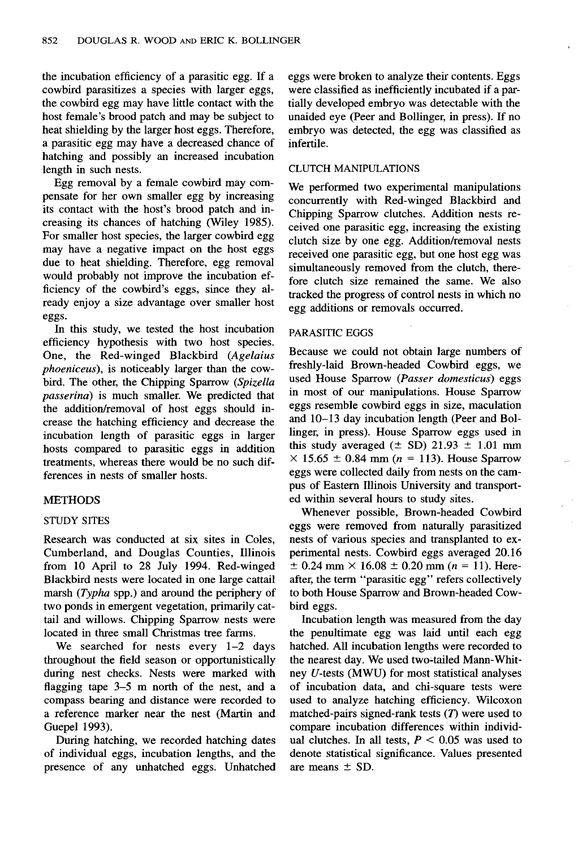the incubation efficiency of a parasitic egg. If a cowbird parasitizes a species with larger eggs, the cowbird egg may have little contact with the host female's brood patch and may be subject to heat shielding by the larger host eggs. Therefore, a parasitic egg may have a decreased chance of hatching and possibly an increased incubation length in such nests.

Egg removal by a female cowbird may compensate for her own smaller egg by increasing its contact with the host's brood patch and increasing its chances of hatching (Wiley 1985). For smaller host species, the larger cowbird egg may have a negative impact on the host eggs due to heat shielding. Therefore, egg removal would probably not improve the incubation efficiency of the cowbird's eggs, since they already enjoy a size advantage over smaller host eggs.

In this study, we tested the host incubation efficiency hypothesis with two host species. One, the Red-winged Blackbird *(Agelaius phoeniceus),* is noticeably larger than the cowbird. The other, the Chipping Sparrow *(Spizella passerina)* is much smaller. We predicted that the addition/removal of host eggs should increase the hatching efficiency and decrease the incubation length of parasitic eggs in larger hosts compared to parasitic eggs in addition treatments, whereas there would be no such differences in nests of smaller hosts.

#### METHODS

#### STUDY SITES

Research was conducted at six sites in Coles, Cumberland, and Douglas Counties, Illinois from 10 April to 28 July 1994. Red-winged Blackbird nests were located in one large cattail marsh *(Typha* spp.) and around the periphery of two ponds in emergent vegetation, primarily cattail and willows. Chipping Sparrow nests were located in three small Christmas tree farms.

We searched for nests every 1-2 days throughout the field season or opportunistically during nest checks. Nests were marked with flagging tape 3-5 m north of the nest, and a compass bearing and distance were recorded to a reference marker near the nest (Martin and Guepel 1993).

During hatching, we recorded hatching dates of individual eggs, incubation lengths, and the presence of any unhatched eggs. Unhatched eggs were broken to analyze their contents. Eggs were classified as inefficiently incubated if a partially developed embryo was detectable with the unaided eye (Peer and Bollinger, in press). If no embryo was detected, the egg was classified as infertile.

#### CLUTCH MANIPULATIONS

We performed two experimental manipulations concurrently with Red-winged Blackbird and Chipping Sparrow clutches. Addition nests received one parasitic egg, increasing the existing clutch size by one egg. Addition/removal nests received one parasitic egg, but one host egg was simultaneously removed from the clutch, therefore clutch size remained the same. We also tracked the progress of control nests in which no egg additions or removals occurred.

#### PARASITIC EGGS

Because we could not obtain large numbers of freshly-laid Brown-headed Cowbird eggs, we used House Sparrow *(Passer domesticus)* eggs in most of our manipulations. House Sparrow eggs resemble cowbird eggs in size, maculation and 10-13 day incubation length (Peer and Bollinger, in press). House Sparrow eggs used in this study averaged  $(\pm SD)$  21.93  $\pm 1.01$  mm  $\times$  15.65  $\pm$  0.84 mm (n = 113). House Sparrow eggs were collected daily from nests on the campus of Eastern Illinois University and transported within several hours to study sites.

Whenever possible, Brown-headed Cowbird eggs were removed from naturally parasitized nests of various species and transplanted to experimental nests. Cowbird eggs averaged 20.16  $\pm$  0.24 mm  $\times$  16.08  $\pm$  0.20 mm (n = 11). Hereafter, the term "parasitic egg" refers collectively to both House Sparrow and Brown-headed Cowbird eggs.

Incubation length was measured from the day the penultimate egg was laid until each egg hatched. All incubation lengths were recorded to the nearest day. We used two~tailed Mann-Whitney U-tests (MWU) for most statistical analyses of incubation data, and chi-square tests were used to analyze hatching efficiency. Wilcoxon matched-pairs signed-rank tests  $(T)$  were used to compare incubation differences within individual clutches. In all tests,  $P < 0.05$  was used to denote statistical significance. Values presented are means  $\pm$  SD.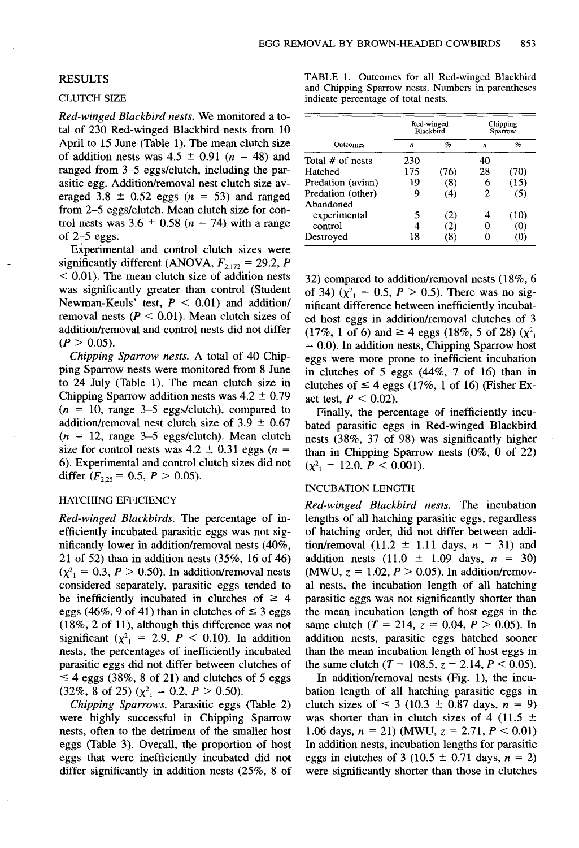#### RESULTS

#### CLUTCH SIZE

*Red-winged Blackbird nests.* We monitored a total of 230 Red-winged Blackbird nests from 10 April to 15 June (Table 1). The mean clutch size of addition nests was  $4.5 \pm 0.91$  ( $n = 48$ ) and ranged from 3-5 eggs/clutch, including the parasitic egg. Addition/removal nest clutch size averaged 3.8  $\pm$  0.52 eggs ( $n = 53$ ) and ranged from 2-5 eggs/clutch. Mean clutch size for control nests was  $3.6 \pm 0.58$  ( $n = 74$ ) with a range of  $2-5$  eggs.

Experimental and control clutch sizes were significantly different (ANOVA,  $F_{2,172} = 29.2$ , *P*  $<$  0.01). The mean clutch size of addition nests was significantly greater than control (Student Newman-Keuls' test,  $P < 0.01$ ) and addition/ removal nests ( $P < 0.01$ ). Mean clutch sizes of addition/removal and control nests did not differ  $(P > 0.05)$ .

*Chipping Sparrow nests.* A total of 40 Chipping Sparrow nests were monitored from 8 June to 24 July (Table 1). The mean clutch size in Chipping Sparrow addition nests was  $4.2 \pm 0.79$  $(n = 10, \text{ range } 3-5 \text{ eggs/cluster})$ , compared to addition/removal nest clutch size of  $3.9 \pm 0.67$  $(n = 12, \text{ range } 3-5 \text{ eggs/cluster})$ . Mean clutch size for control nests was  $4.2 \pm 0.31$  eggs (n = 6). Experimental and control clutch sizes did not differ  $(F_{2,25} = 0.5, P > 0.05)$ .

#### HATCHING EFFICIENCY

*Red-winged Blackbirds.* The percentage of inefficiently incubated parasitic eggs was not significantly lower in addition/removal nests (40%, 21 of 52) than in addition nests (35%, 16 of 46)  $(\chi^2)$  = 0.3, *P* > 0.50). In addition/removal nests considered separately, parasitic eggs tended to be inefficiently incubated in clutches of  $\geq$  4 eggs (46%, 9 of 41) than in clutches of  $\leq$  3 eggs (18%, 2 of 11), although this difference was not significant ( $\chi^2$ <sub>1</sub> = 2.9, *P* < 0.10). In addition nests, the percentages of inefficiently incubated parasitic eggs did not differ between clutches of  $\leq$  4 eggs (38%, 8 of 21) and clutches of 5 eggs  $(32\%, 8 \text{ of } 25)$   $(\chi^2) = 0.2, P > 0.50$ .

*Chipping Sparrows.* Parasitic eggs (Table 2) were highly successful in Chipping Sparrow nests, often to the detriment of the smaller host eggs (Table 3). Overall, the proportion of host eggs that were inefficiently incubated did not differ significantly in addition nests (25%, 8 of

TABLE 1. Outcomes for all Red-winged Blackbird and Chipping Sparrow nests. Numbers in parentheses indicate percentage of total nests.

| <b>Outcomes</b>    |     | Red-winged<br>Blackbird | Chipping<br>Sparrow |      |
|--------------------|-----|-------------------------|---------------------|------|
|                    | n   | $\%$                    | n                   | %    |
| Total $#$ of nests | 230 |                         | 40                  |      |
| Hatched            | 175 | (76)                    | 28                  | 70)  |
| Predation (avian)  | 19  | (8)                     | 6                   | (15) |
| Predation (other)  | 9   | (4)                     | 2                   | (5)  |
| Abandoned          |     |                         |                     |      |
| experimental       | 5   | (2)                     |                     | (10) |
| control            | 4   | 21                      |                     | (0)  |
| Destroyed          | 18  | 8                       |                     | ω    |

32) compared to addition/removal nests (18%, 6 of 34) ( $\chi^2$ <sub>1</sub> = 0.5, *P* > 0.5). There was no significant difference between inefficiently incubated host eggs in addition/removal clutches of 3  $(17\%, 1 \text{ of } 6) \text{ and } \geq 4 \text{ eggs } (18\%, 5 \text{ of } 28) (\chi^2)$  $= 0.0$ ). In addition nests, Chipping Sparrow host eggs were more prone to inefficient incubation in clutches of 5 eggs (44%, 7 of 16) than in clutches of  $\leq 4$  eggs (17%, 1 of 16) (Fisher Exact test,  $P < 0.02$ ).

Finally, the percentage of inefficiently incubated parasitic eggs in Red-winged Blackbird nests (38%, 37 of 98) was significantly higher than in Chipping Sparrow nests (0%, 0 of 22)  $(\chi^2) = 12.0, P < 0.001$ ).

#### INCUBATION LENGTH

*Red-winged Blackbird nests.* The incubation lengths of all hatching parasitic eggs, regardless of hatching order, did not differ between addition/removal  $(11.2 \pm 1.11 \text{ days}, n = 31)$  and addition nests  $(11.0 \pm 1.09 \text{ days}, n = 30)$ (MWU,  $z = 1.02$ ,  $P > 0.05$ ). In addition/removal nests, the incubation length of all hatching parasitic eggs was not significantly shorter than the mean incubation length of host eggs in the same clutch  $(T = 214, z = 0.04, P > 0.05)$ . In addition nests, parasitic eggs hatched sooner than the mean incubation length of host eggs in the same clutch ( $T = 108.5$ ,  $z = 2.14$ ,  $P < 0.05$ ).

In addition/removal nests (Fig. 1), the incubation length of all hatching parasitic eggs in clutch sizes of  $\leq$  3 (10.3  $\pm$  0.87 days, *n* = 9) was shorter than in clutch sizes of 4 (11.5  $\pm$ 1.06 days,  $n = 21$ ) (MWU,  $z = 2.71$ ,  $P < 0.01$ ) In addition nests, incubation lengths for parasitic eggs in clutches of 3 (10.5  $\pm$  0.71 days, *n* = 2) were significantly shorter than those in clutches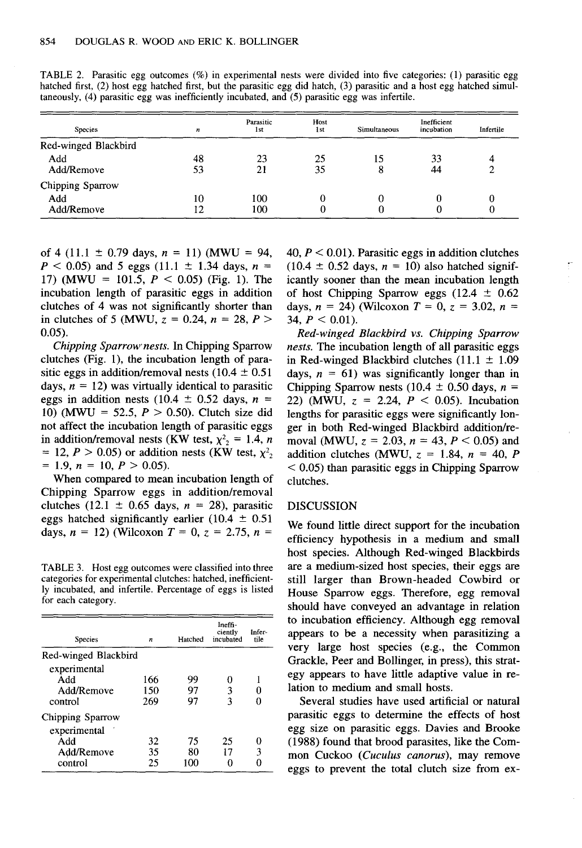| <b>Species</b>       | n  | Parasitic<br>1st | Host<br>1st | Simultaneous | Inefficient<br>incubation |   |
|----------------------|----|------------------|-------------|--------------|---------------------------|---|
| Red-winged Blackbird |    |                  |             |              |                           |   |
| Add                  | 48 | 23               | 25          | 15           | 33                        | 4 |
| Add/Remove           | 53 | 21               | 35          |              | 44                        |   |
| Chipping Sparrow     |    |                  |             |              |                           |   |
| Add                  | 10 | 100              | 0           |              | 0                         |   |
| Add/Remove           | 12 | 100              | 0           |              |                           |   |

TABLE 2. Parasitic egg outcomes (%) in experimental nests were divided into five categories: (I) parasitic egg hatched first, (2) host egg hatched first, but the parasitic egg did hatch, (3) parasitic and a host egg hatched simultaneously, (4) parasitic egg was inefficiently incubated, and (5) parasitic egg was infertile.

of 4 (11.1  $\pm$  0.79 days, *n* = 11) (MWU = 94,  $P < 0.05$ ) and 5 eggs (11.1  $\pm$  1.34 days, *n* = 17) (MWU = 101.5,  $P < 0.05$ ) (Fig. 1). The incubation length of parasitic eggs in addition clutches of 4 was not significantly shorter than in clutches of 5 (MWU,  $z = 0.24$ ,  $n = 28$ ,  $P >$ 0.05).

*Chipping Sparrow nests.* In Chipping Sparrow clutches (Fig. 1), the incubation length of parasitic eggs in addition/removal nests (10.4  $\pm$  0.51 days,  $n = 12$ ) was virtually identical to parasitic eggs in addition nests (10.4  $\pm$  0.52 days, *n* = 10) (MWU = 52.5,  $P > 0.50$ ). Clutch size did not affect the incubation length of parasitic eggs in addition/removal nests (KW test,  $\chi^2 = 1.4$ , *n* = 12,  $P > 0.05$ ) or addition nests (KW test,  $\chi^2$ <sub>2</sub>  $= 1.9, n = 10, P > 0.05$ .

When compared to mean incubation length of Chipping Sparrow eggs in addition/removal clutches (12.1  $\pm$  0.65 days, *n* = 28), parasitic eggs hatched significantly earlier (10.4  $\pm$  0.51 days,  $n = 12$ ) (Wilcoxon  $T = 0$ ,  $z = 2.75$ ,  $n =$ 

TABLE 3. Host egg outcomes were classified into three categories for experimental clutches: hatched, inefficiently incubated, and infertile. Percentage of eggs is listed for each category.

| Species                                                          | n                 | Hatched         | Ineffi-<br>ciently<br>incubated | Infer-<br>tile |
|------------------------------------------------------------------|-------------------|-----------------|---------------------------------|----------------|
| Red-winged Blackbird                                             |                   |                 |                                 |                |
| experimental<br>Add<br>Add/Remove<br>control                     | 166<br>150<br>269 | 99<br>97<br>97  | Ω<br>3<br>٩                     |                |
| Chipping Sparrow<br>experimental<br>Add<br>Add/Remove<br>control | 32<br>35<br>25    | 75<br>80<br>100 | 25<br>17                        | o<br>3         |

40,  $P < 0.01$ ). Parasitic eggs in addition clutches  $(10.4 \pm 0.52$  days,  $n = 10$ ) also hatched significantly sooner than the mean incubation length of host Chipping Sparrow eggs (12.4  $\pm$  0.62 days,  $n = 24$ ) (Wilcoxon  $T = 0$ ,  $z = 3.02$ ,  $n = 34$ ,  $P < 0.01$ ).

*Red-winged Blackbird vs. Chipping Sparrow nests.* The incubation length of all parasitic eggs in Red-winged Blackbird clutches  $(11.1 \pm 1.09$ days,  $n = 61$ ) was significantly longer than in Chipping Sparrow nests (10.4  $\pm$  0.50 days, *n* = 22) (MWU,  $z = 2.24$ ,  $P < 0.05$ ). Incubation lengths for parasitic eggs were significantly longer in both Red-winged Blackbird addition/removal (MWU,  $z = 2.03$ ,  $n = 43$ ,  $P < 0.05$ ) and addition clutches (MWU,  $z = 1.84$ ,  $n = 40$ , P  $<$  0.05) than parasitic eggs in Chipping Sparrow clutches.

#### DISCUSSION

We found little direct support for the incubation efficiency hypothesis in a medium and small host species. Although Red-winged Blackbirds are a medium-sized host species, their eggs are still larger than Brown-headed Cowbird or House Sparrow eggs. Therefore, egg removal should have conveyed an advantage in relation to incubation efficiency. Although egg removal appears to be a necessity when parasitizing a very large host species (e.g., the Common Grackle, Peer and Bollinger, in press), this strategy appears to have little adaptive value in relation to medium and small hosts.

Several studies have used artificial or natural parasitic eggs to determine the effects of host egg size on parasitic eggs. Davies and Brooke (1988) found that brood parasites, like the Common Cuckoo *(Cuculus canorus),* may remove eggs to prevent the total clutch size from ex-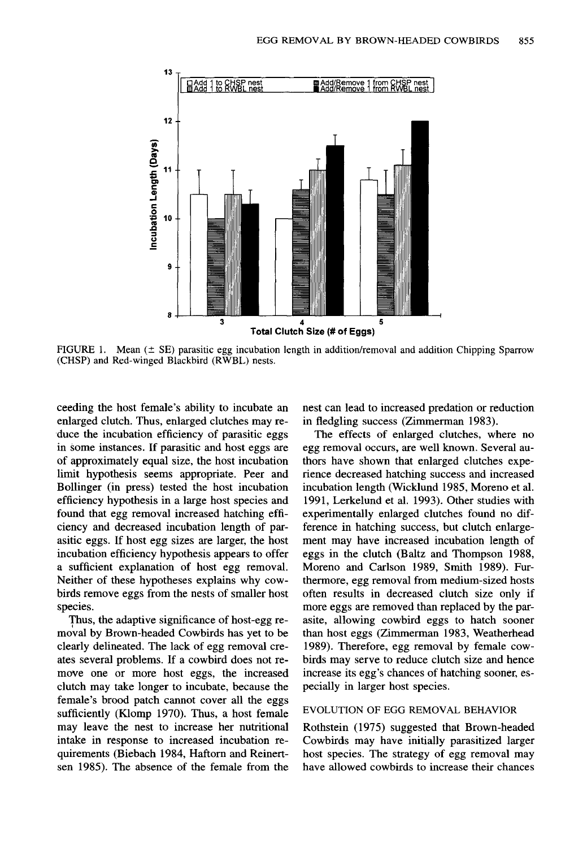

FIGURE 1. Mean  $(\pm$  SE) parasitic egg incubation length in addition/removal and addition Chipping Sparrow (CHSP) and Red-winged Blackbird (RWBL) nests.

ceeding the host female's ability to incubate an enlarged clutch. Thus, enlarged clutches may reduce the incubation efficiency of parasitic eggs in some instances. If parasitic and host eggs are of approximately equal size, the host incubation limit hypothesis seems appropriate. Peer and Bollinger (in press) tested the host incubation efficiency hypothesis in a large host species and found that egg removal increased hatching efficiency and decreased incubation length of parasitic eggs. If host egg sizes are larger, the host incubation efficiency hypothesis appears to offer a sufficient explanation of host egg removal. Neither of these hypotheses explains why cowbirds remove eggs from the nests of smaller host species.

Thus, the adaptive significance of host -egg removal by Brown-headed Cowbirds has yet to be clearly delineated. The lack of egg removal creates several problems. If a cowbird does not remove one or more host eggs, the increased clutch may take longer to incubate, because the female's brood patch cannot cover all the eggs sufficiently (Klomp 1970). Thus, a host female may leave the nest to increase her nutritional intake in response to increased incubation requirements (Biebach 1984, Haftorn and Reinertsen 1985). The absence of the female from the

nest can lead to increased predation or reduction in fledgling success (Zimmerman 1983).

The effects of enlarged clutches, where no egg removal occurs, are well known. Several authors have shown that enlarged clutches experience decreased hatching success and increased incubation length (Wicklund 1985, Moreno et al. 1991, Lerkelund et al. 1993). Other studies with experimentally enlarged clutches found no difference in hatching success, but clutch enlargement may have increased incubation length of eggs in the clutch (Baltz and Thompson 1988, Moreno and Carlson 1989, Smith 1989). Furthermore, egg removal from medium-sized hosts often results in decreased clutch size only if more eggs are removed than replaced by the parasite, allowing cowbird eggs to hatch sooner than host eggs (Zimmerman 1983, Weatherhead 1989). Therefore, egg removal by female cowbirds may serve to reduce clutch size and hence increase its egg's chances of hatching sooner, especially in larger host species.

#### EVOLUTION OF EGG REMOVAL BEHAVIOR

Rothstein (1975) suggested that Brown-headed Cowbirds may have initially parasitized larger host species. The strategy of egg removal may have allowed cowbirds to increase their chances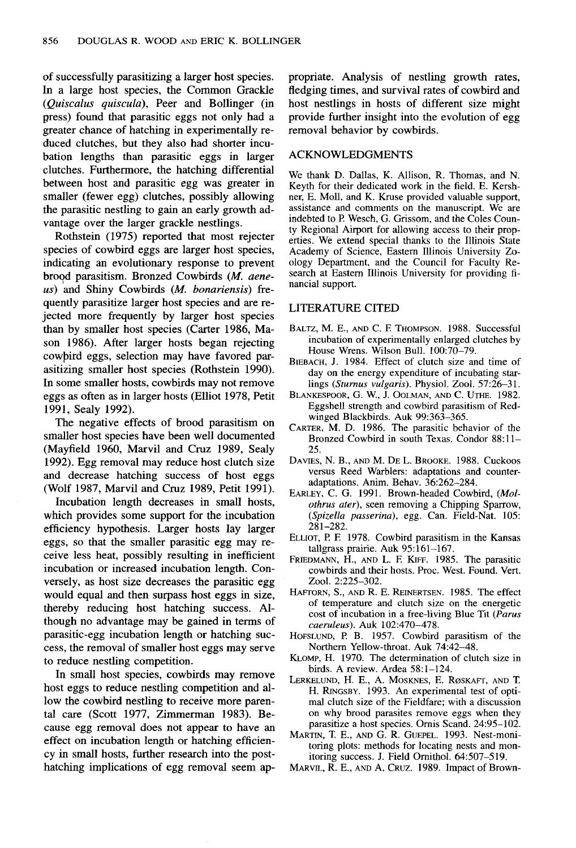of successfully parasitizing a larger host species. In a large host species, the Common Grackle *(Quiscalus quiscula),* Peer and Bollinger (in press) found that parasitic eggs not only had a greater chance of hatching in experimentally reduced clutches, but they also had shorter incubation lengths than parasitic eggs in larger clutches. Furthermore, the hatching differential between host and parasitic egg was greater in smaller (fewer egg) clutches, possibly allowing the parasitic nestling to gain an early growth advantage over the larger grackle nestlings.

Rothstein (1975) reported that most rejecter species of cowbird eggs are larger host species, indicating an evolutionary response to prevent broqd parasitism. Bronzed Cowbirds *(M. aeneus)* and Shiny Cowbirds *(M. bonariensis)* frequently parasitize larger host species and are rejected more frequently by larger host species than by smaller host species (Carter 1986, Mason 1986). After larger hosts began rejecting cowpird eggs, selection may have favored parasitizing smaller host species (Rothstein 1990). In some smaller hosts, cowbirds may not remove eggs as often as in larger hosts (Elliot 1978, Petit 1991, Sealy 1992).

The negative effects of brood parasitism on smaller host species have been well documented (Mayfield 1960, Marvil and Cruz 1989, Sealy 1992). Egg removal may reduce host clutch size and decrease hatching success of host eggs (Wolf 1987, Marvil and Cruz 1989, Petit 1991).

Incubation length decreases in small hosts, which provides some support for the incubation efficiency hypothesis. Larger hosts lay larger eggs, so that the smaller parasitic egg may receive less heat, possibly resulting in inefficient incubation or increased incubation length. Conversely, as host size decreases the parasitic egg would equal and then surpass host eggs in size, thereby reducing host hatching success. Although no advantage may be gained in terms of parasitic-egg incubation length or hatching success, the removal of smaller host eggs may serve to reduce nestling competition.

In small host species, cowbirds may remove host eggs to reduce nestling competition and allow the cowbird nestling to receive more parental care (Scott 1977, Zimmerman 1983). Because egg removal does not appear to have an effect on incubation length or hatching efficiency in small hosts, further research into the posthatching implications of egg removal seem appropriate. Analysis of nestling growth rates, fledging times, and survival rates of cowbird and host nestlings in hosts of different size might provide further insight into the evolution of egg removal behavior by cowbirds.

#### ACKNOWLEDGMENTS

We thank D. Dallas, K. Allison, R. Thomas, and N. Keyth for their dedicated work in the field. E. Kershner, E. Moll, and K. Kruse provided valuable support, assistance and comments on the manuscript. We are indebted to P. Wesch, G. Grissom, and the Coles County Regional Airport for allowing access to their properties. We extend special thanks to the Illinois State Academy of Science, Eastern Illinois University Zoology Department, and the Council for Faculty Research at Eastern Illinois University for providing financial support.

#### LITERATURE CITED

- BALTZ, M. E., AND C. F. THOMPSON. 1988. Successful incubation of experimentally enlarged clutches by House Wrens. Wilson Bull. 100:70-79.
- BIEBACH, J. 1984. Effect of clutch size and time of day on the energy expenditure of incubating starlings *(Sturnus vulgaris)*. Physiol. Zool. 57:26-31.
- BLANKESPOOR, G. W., J. 00LMAN, AND C. UTHE. 1982. Eggshell strength and cowbird parasitism of Redwinged Blackbirds. Auk 99:363-365.
- CARTER, M. D. 1986. The parasitic behavior of the Bronzed Cowbird in south Texas. Condor 88:11- 25.
- DAVIES, N. B., AND M. DEL. BROOKE. 1988. Cuckoos versus Reed Warblers: adaptations and counteradaptations. Anim. Behav. 36:262-284.
- EARLEY, C. G. 1991. Brown-headed Cowbird, *(Molothrus ater),* seen removing a Chipping Sparrow, *(Spizella passerina),* egg. Can. Field-Nat. 105: 281-282.
- ELLIOT, P. F. 1978. Cowbird parasitism in the Kansas tallgrass prairie. Auk 95:161-167.
- FRIEDMANN, H., AND L. F. KIFF. 1985. The parasitic cowbirds and their hosts. Proc. West. Found. Vert. Zoo!. 2:225-302.
- HAFfORN, S., AND R. E. REINERTSEN. 1985. The effect of temperature and clutch size on the energetic cost of incubation in a free-living Blue Tit *(Parus caeruleus).* Auk 102:470-478.
- HoFSLUND, P. B. 1957. Cowbird parasitism of the Northern Yellow-throat. Auk 74:42-48.
- KLOMP, H. 1970. The determination of clutch size in birds. A review. Ardea 58:1-124.
- LERKELUND, H. E., A. MosKNES, E. ROSKAFf, AND T. H. RrNGsBY. 1993. An experimental test of optimal clutch size of the Fieldfare; with a discussion on why brood parasites remove eggs when they parasitize a host species. Ornis Scand. 24:95-102.
- MARTIN, T. E., AND G. R. GUEPEL. 1993. Nest-monitoring plots: methods for locating nests and monitoring success. J. Field Ornithol. 64:507-519.
- MARVIL, R. E., AND A. CRUZ. 1989. Impact of Brown-